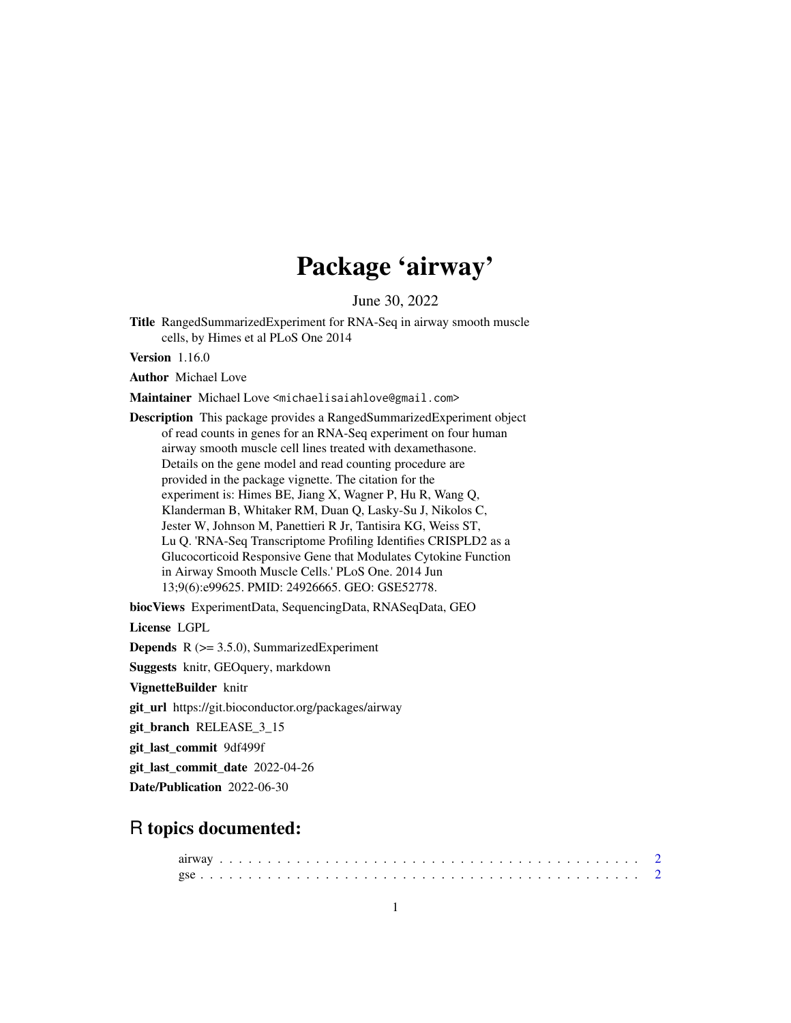## Package 'airway'

June 30, 2022

Title RangedSummarizedExperiment for RNA-Seq in airway smooth muscle cells, by Himes et al PLoS One 2014

Version 1.16.0

Author Michael Love

Maintainer Michael Love <michaelisaiahlove@gmail.com>

Description This package provides a RangedSummarizedExperiment object of read counts in genes for an RNA-Seq experiment on four human airway smooth muscle cell lines treated with dexamethasone. Details on the gene model and read counting procedure are provided in the package vignette. The citation for the experiment is: Himes BE, Jiang X, Wagner P, Hu R, Wang Q, Klanderman B, Whitaker RM, Duan Q, Lasky-Su J, Nikolos C, Jester W, Johnson M, Panettieri R Jr, Tantisira KG, Weiss ST, Lu Q. 'RNA-Seq Transcriptome Profiling Identifies CRISPLD2 as a Glucocorticoid Responsive Gene that Modulates Cytokine Function in Airway Smooth Muscle Cells.' PLoS One. 2014 Jun 13;9(6):e99625. PMID: 24926665. GEO: GSE52778.

biocViews ExperimentData, SequencingData, RNASeqData, GEO

License LGPL

**Depends**  $R$  ( $>= 3.5.0$ ), SummarizedExperiment

Suggests knitr, GEOquery, markdown

VignetteBuilder knitr

git\_url https://git.bioconductor.org/packages/airway

git\_branch RELEASE\_3\_15

git\_last\_commit 9df499f

git\_last\_commit\_date 2022-04-26

Date/Publication 2022-06-30

### R topics documented: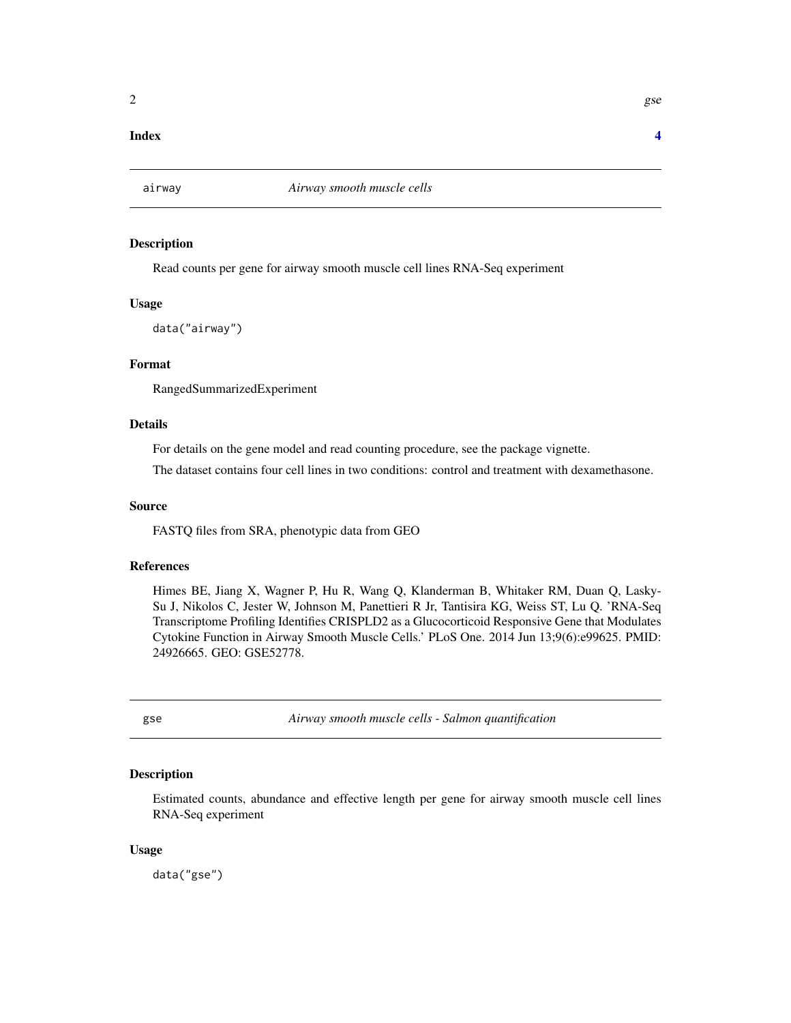#### <span id="page-1-0"></span>**Index** [4](#page-3-0)

#### Description

Read counts per gene for airway smooth muscle cell lines RNA-Seq experiment

#### Usage

data("airway")

#### Format

RangedSummarizedExperiment

#### Details

For details on the gene model and read counting procedure, see the package vignette.

The dataset contains four cell lines in two conditions: control and treatment with dexamethasone.

#### Source

FASTQ files from SRA, phenotypic data from GEO

#### References

Himes BE, Jiang X, Wagner P, Hu R, Wang Q, Klanderman B, Whitaker RM, Duan Q, Lasky-Su J, Nikolos C, Jester W, Johnson M, Panettieri R Jr, Tantisira KG, Weiss ST, Lu Q. 'RNA-Seq Transcriptome Profiling Identifies CRISPLD2 as a Glucocorticoid Responsive Gene that Modulates Cytokine Function in Airway Smooth Muscle Cells.' PLoS One. 2014 Jun 13;9(6):e99625. PMID: 24926665. GEO: GSE52778.

gse *Airway smooth muscle cells - Salmon quantification*

#### Description

Estimated counts, abundance and effective length per gene for airway smooth muscle cell lines RNA-Seq experiment

#### Usage

data("gse")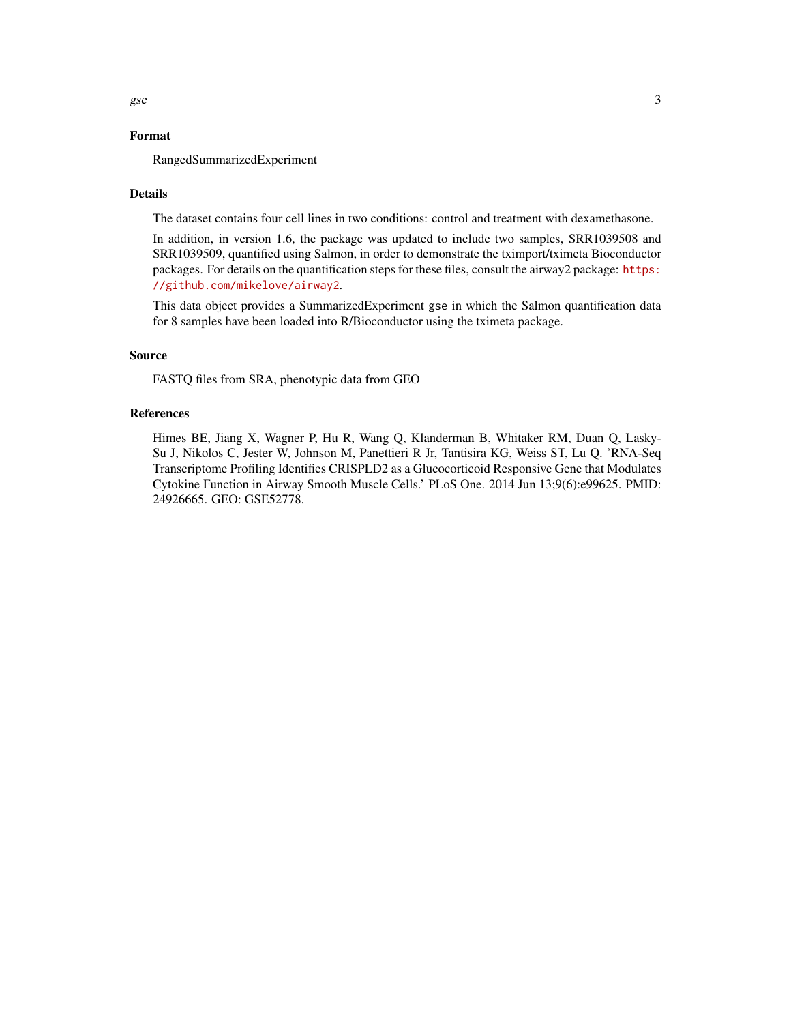$gse$  3

#### Format

RangedSummarizedExperiment

#### Details

The dataset contains four cell lines in two conditions: control and treatment with dexamethasone.

In addition, in version 1.6, the package was updated to include two samples, SRR1039508 and SRR1039509, quantified using Salmon, in order to demonstrate the tximport/tximeta Bioconductor packages. For details on the quantification steps for these files, consult the airway2 package: [https:](https://github.com/mikelove/airway2) [//github.com/mikelove/airway2](https://github.com/mikelove/airway2).

This data object provides a SummarizedExperiment gse in which the Salmon quantification data for 8 samples have been loaded into R/Bioconductor using the tximeta package.

#### Source

FASTQ files from SRA, phenotypic data from GEO

#### References

Himes BE, Jiang X, Wagner P, Hu R, Wang Q, Klanderman B, Whitaker RM, Duan Q, Lasky-Su J, Nikolos C, Jester W, Johnson M, Panettieri R Jr, Tantisira KG, Weiss ST, Lu Q. 'RNA-Seq Transcriptome Profiling Identifies CRISPLD2 as a Glucocorticoid Responsive Gene that Modulates Cytokine Function in Airway Smooth Muscle Cells.' PLoS One. 2014 Jun 13;9(6):e99625. PMID: 24926665. GEO: GSE52778.